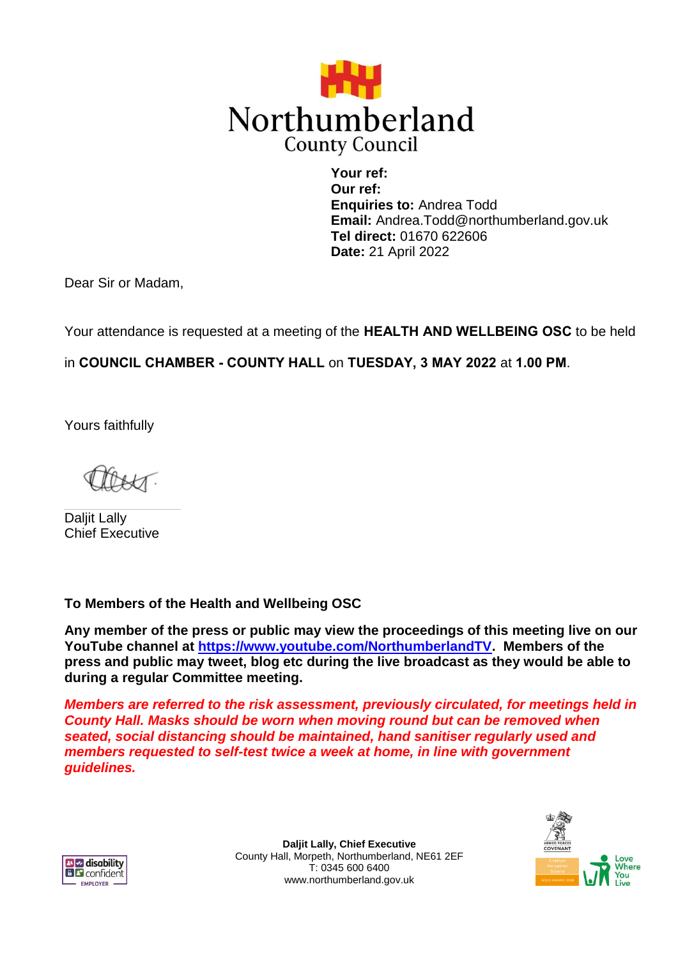

**Your ref: Our ref: Enquiries to:** Andrea Todd **Email:** Andrea.Todd@northumberland.gov.uk **Tel direct:** 01670 622606 **Date:** 21 April 2022

Dear Sir or Madam,

Your attendance is requested at a meeting of the **HEALTH AND WELLBEING OSC** to be held

in **COUNCIL CHAMBER - COUNTY HALL** on **TUESDAY, 3 MAY 2022** at **1.00 PM**.

Yours faithfully

Daliit Lally Chief Executive

**To Members of the Health and Wellbeing OSC**

**Any member of the press or public may view the proceedings of this meeting live on our YouTube channel at [https://www.youtube.com/NorthumberlandTV.](https://www.youtube.com/NorthumberlandTV) Members of the press and public may tweet, blog etc during the live broadcast as they would be able to during a regular Committee meeting.**

*Members are referred to the risk assessment, previously circulated, for meetings held in County Hall. Masks should be worn when moving round but can be removed when seated, social distancing should be maintained, hand sanitiser regularly used and members requested to self-test twice a week at home, in line with government guidelines.*



**Daljit Lally, Chief Executive** County Hall, Morpeth, Northumberland, NE61 2EF T: 0345 600 6400 www.northumberland.gov.uk

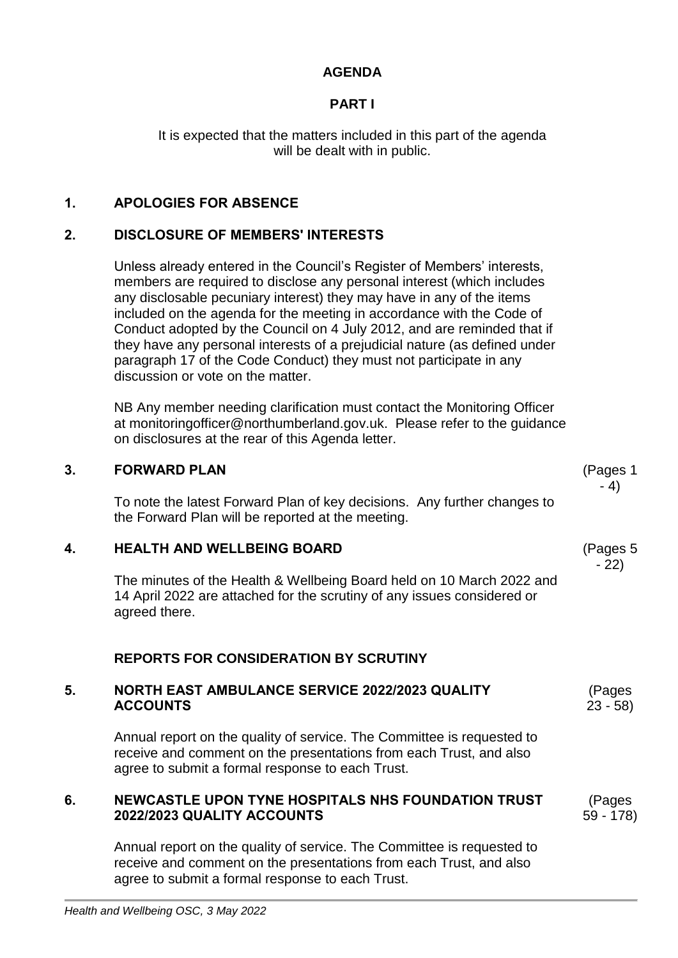# **AGENDA**

# **PART I**

It is expected that the matters included in this part of the agenda will be dealt with in public.

# **1. APOLOGIES FOR ABSENCE**

### **2. DISCLOSURE OF MEMBERS' INTERESTS**

Unless already entered in the Council's Register of Members' interests, members are required to disclose any personal interest (which includes any disclosable pecuniary interest) they may have in any of the items included on the agenda for the meeting in accordance with the Code of Conduct adopted by the Council on 4 July 2012, and are reminded that if they have any personal interests of a prejudicial nature (as defined under paragraph 17 of the Code Conduct) they must not participate in any discussion or vote on the matter.

NB Any member needing clarification must contact the Monitoring Officer at monitoringofficer@northumberland.gov.uk. Please refer to the guidance on disclosures at the rear of this Agenda letter.

#### **3. FORWARD PLAN**

To note the latest Forward Plan of key decisions. Any further changes to the Forward Plan will be reported at the meeting.

## **4. HEALTH AND WELLBEING BOARD**

The minutes of the Health & Wellbeing Board held on 10 March 2022 and 14 April 2022 are attached for the scrutiny of any issues considered or agreed there.

## **REPORTS FOR CONSIDERATION BY SCRUTINY**

#### **5. NORTH EAST AMBULANCE SERVICE 2022/2023 QUALITY ACCOUNTS**

Annual report on the quality of service. The Committee is requested to receive and comment on the presentations from each Trust, and also agree to submit a formal response to each Trust.

### **6. NEWCASTLE UPON TYNE HOSPITALS NHS FOUNDATION TRUST 2022/2023 QUALITY ACCOUNTS**

Annual report on the quality of service. The Committee is requested to receive and comment on the presentations from each Trust, and also agree to submit a formal response to each Trust.

(Pages 5 - 22)

(Pages 59 - 178)

(Pages 23 - 58)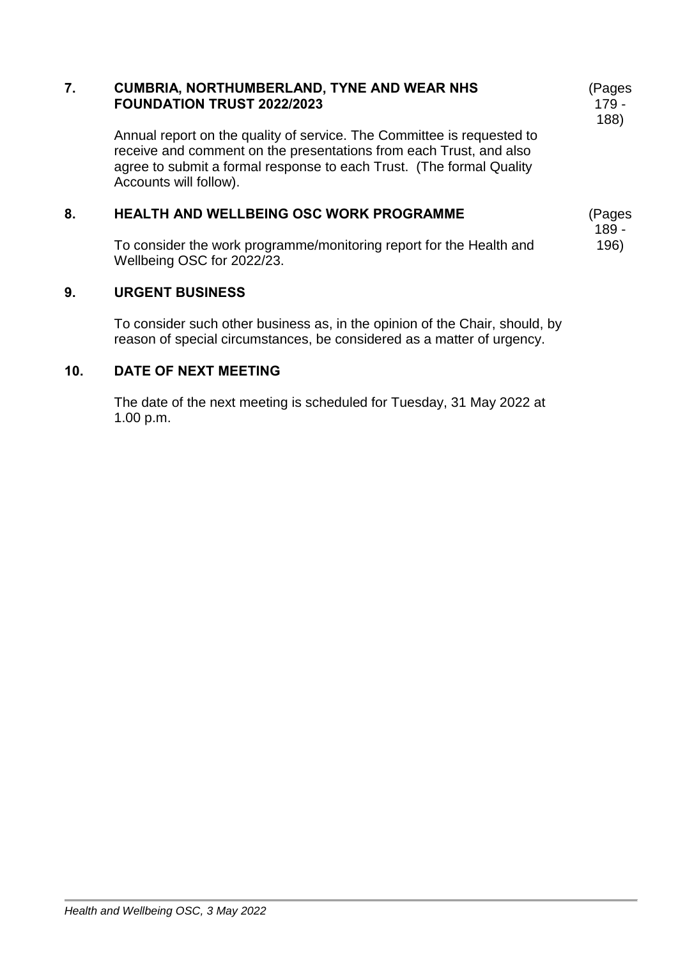#### **7. CUMBRIA, NORTHUMBERLAND, TYNE AND WEAR NHS FOUNDATION TRUST 2022/2023**

Annual report on the quality of service. The Committee is requested to receive and comment on the presentations from each Trust, and also agree to submit a formal response to each Trust. (The formal Quality Accounts will follow).

#### **8. HEALTH AND WELLBEING OSC WORK PROGRAMME**

To consider the work programme/monitoring report for the Health and Wellbeing OSC for 2022/23.

### **9. URGENT BUSINESS**

To consider such other business as, in the opinion of the Chair, should, by reason of special circumstances, be considered as a matter of urgency.

### **10. DATE OF NEXT MEETING**

The date of the next meeting is scheduled for Tuesday, 31 May 2022 at 1.00 p.m.

(Pages 179 - 188)

(Pages 189 - 196)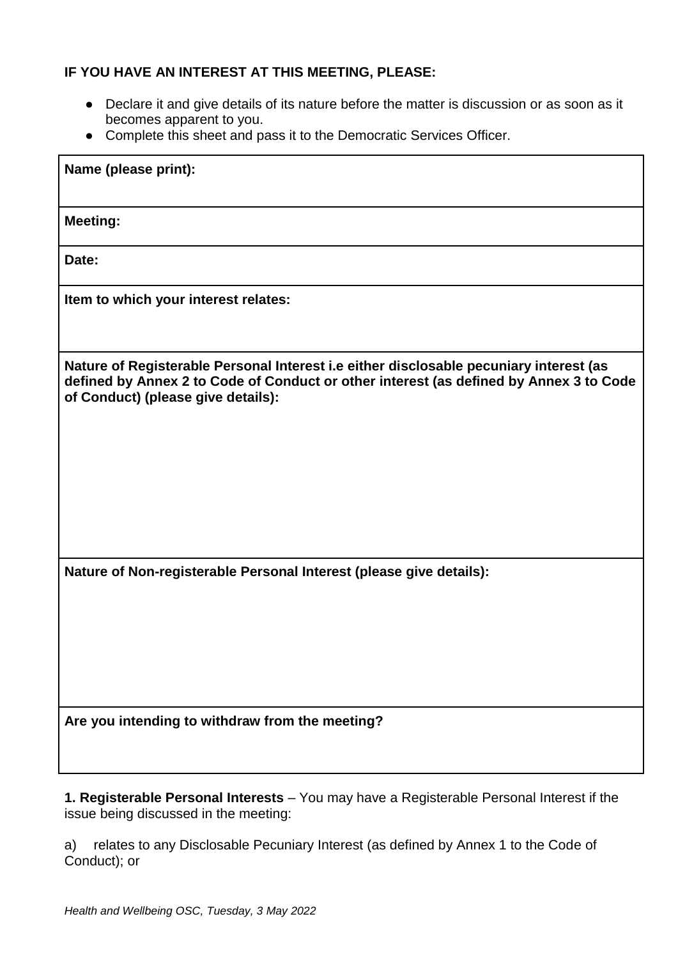## **IF YOU HAVE AN INTEREST AT THIS MEETING, PLEASE:**

- Declare it and give details of its nature before the matter is discussion or as soon as it becomes apparent to you.
- Complete this sheet and pass it to the Democratic Services Officer.

| Name (please print):                                                                                                                                                                                                   |
|------------------------------------------------------------------------------------------------------------------------------------------------------------------------------------------------------------------------|
| <b>Meeting:</b>                                                                                                                                                                                                        |
| Date:                                                                                                                                                                                                                  |
| Item to which your interest relates:                                                                                                                                                                                   |
| Nature of Registerable Personal Interest i.e either disclosable pecuniary interest (as<br>defined by Annex 2 to Code of Conduct or other interest (as defined by Annex 3 to Code<br>of Conduct) (please give details): |
| Nature of Non-registerable Personal Interest (please give details):                                                                                                                                                    |
| Are you intending to withdraw from the meeting?                                                                                                                                                                        |

**1. Registerable Personal Interests** – You may have a Registerable Personal Interest if the issue being discussed in the meeting:

a) relates to any Disclosable Pecuniary Interest (as defined by Annex 1 to the Code of Conduct); or